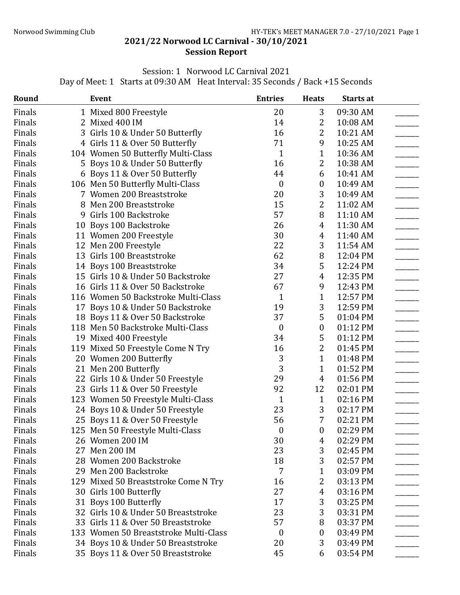## 2021/22 Norwood LC Carnival - 30/10/2021 Session Report

## Session: 1 Norwood LC Carnival 2021

Day of Meet: 1 Starts at 09:30 AM Heat Interval: 35 Seconds / Back +15 Seconds

| Round  | <b>Event</b>                          | <b>Entries</b>   | <b>Heats</b>     | Starts at |  |
|--------|---------------------------------------|------------------|------------------|-----------|--|
| Finals | 1 Mixed 800 Freestyle                 | 20               | 3                | 09:30 AM  |  |
| Finals | 2 Mixed 400 IM                        | 14               | 2                | 10:08 AM  |  |
| Finals | 3 Girls 10 & Under 50 Butterfly       | 16               | 2                | 10:21 AM  |  |
| Finals | 4 Girls 11 & Over 50 Butterfly        | 71               | 9                | 10:25 AM  |  |
| Finals | 104 Women 50 Butterfly Multi-Class    | $\mathbf{1}$     | $\mathbf{1}$     | 10:36 AM  |  |
| Finals | 5 Boys 10 & Under 50 Butterfly        | 16               | 2                | 10:38 AM  |  |
| Finals | 6 Boys 11 & Over 50 Butterfly         | 44               | 6                | 10:41 AM  |  |
| Finals | 106 Men 50 Butterfly Multi-Class      | $\boldsymbol{0}$ | $\boldsymbol{0}$ | 10:49 AM  |  |
| Finals | 7 Women 200 Breaststroke              | 20               | 3                | 10:49 AM  |  |
| Finals | 8 Men 200 Breaststroke                | 15               | 2                | 11:02 AM  |  |
| Finals | 9 Girls 100 Backstroke                | 57               | 8                | 11:10 AM  |  |
| Finals | 10 Boys 100 Backstroke                | 26               | 4                | 11:30 AM  |  |
| Finals | 11 Women 200 Freestyle                | 30               | 4                | 11:40 AM  |  |
| Finals | 12 Men 200 Freestyle                  | 22               | 3                | 11:54 AM  |  |
| Finals | 13 Girls 100 Breaststroke             | 62               | 8                | 12:04 PM  |  |
| Finals | 14 Boys 100 Breaststroke              | 34               | 5                | 12:24 PM  |  |
| Finals | 15 Girls 10 & Under 50 Backstroke     | 27               | 4                | 12:35 PM  |  |
| Finals | 16 Girls 11 & Over 50 Backstroke      | 67               | 9                | 12:43 PM  |  |
| Finals | 116 Women 50 Backstroke Multi-Class   | $\mathbf{1}$     | $\mathbf{1}$     | 12:57 PM  |  |
| Finals | 17 Boys 10 & Under 50 Backstroke      | 19               | 3                | 12:59 PM  |  |
| Finals | 18 Boys 11 & Over 50 Backstroke       | 37               | 5                | 01:04 PM  |  |
| Finals | 118 Men 50 Backstroke Multi-Class     | $\boldsymbol{0}$ | $\boldsymbol{0}$ | 01:12 PM  |  |
| Finals | 19 Mixed 400 Freestyle                | 34               | 5                | 01:12 PM  |  |
| Finals | 119 Mixed 50 Freestyle Come N Try     | 16               | 2                | 01:45 PM  |  |
| Finals | 20 Women 200 Butterfly                | 3                | $\mathbf{1}$     | 01:48 PM  |  |
| Finals | 21 Men 200 Butterfly                  | 3                | $\mathbf{1}$     | 01:52 PM  |  |
| Finals | 22 Girls 10 & Under 50 Freestyle      | 29               | 4                | 01:56 PM  |  |
| Finals | 23 Girls 11 & Over 50 Freestyle       | 92               | 12               | 02:01 PM  |  |
| Finals | 123 Women 50 Freestyle Multi-Class    | $\mathbf{1}$     | $\mathbf{1}$     | 02:16 PM  |  |
| Finals | 24 Boys 10 & Under 50 Freestyle       | 23               | 3                | 02:17 PM  |  |
| Finals | 25 Boys 11 & Over 50 Freestyle        | 56               | 7                | 02:21 PM  |  |
| Finals | 125 Men 50 Freestyle Multi-Class      | $\boldsymbol{0}$ | $\boldsymbol{0}$ | 02:29 PM  |  |
| Finals | 26 Women 200 IM                       | 30               | 4                | 02:29 PM  |  |
| Finals | 27 Men 200 IM                         | 23               | 3                | 02:45 PM  |  |
| Finals | 28 Women 200 Backstroke               | 18               | 3                | 02:57 PM  |  |
| Finals | 29 Men 200 Backstroke                 | 7                | 1                | 03:09 PM  |  |
| Finals | 129 Mixed 50 Breaststroke Come N Try  | 16               | 2                | 03:13 PM  |  |
| Finals | 30 Girls 100 Butterfly                | 27               | 4                | 03:16 PM  |  |
| Finals | 31 Boys 100 Butterfly                 | 17               | 3                | 03:25 PM  |  |
| Finals | 32 Girls 10 & Under 50 Breaststroke   | 23               | 3                | 03:31 PM  |  |
| Finals | 33 Girls 11 & Over 50 Breaststroke    | 57               | 8                | 03:37 PM  |  |
| Finals | 133 Women 50 Breaststroke Multi-Class | $\boldsymbol{0}$ | 0                | 03:49 PM  |  |
| Finals | 34 Boys 10 & Under 50 Breaststroke    | 20               | 3                | 03:49 PM  |  |
| Finals | 35 Boys 11 & Over 50 Breaststroke     | 45               | 6                | 03:54 PM  |  |